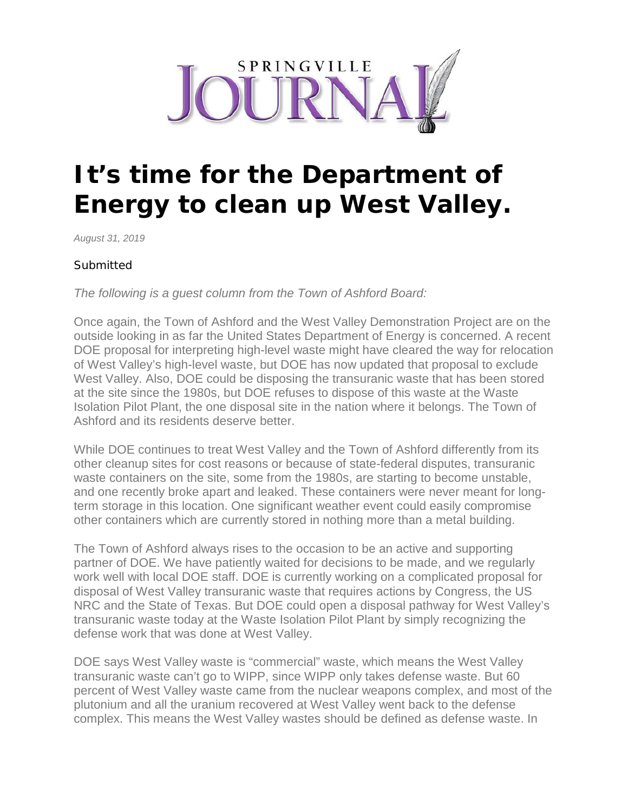

## **It's time for the Department of Energy to clean up West Valley.**

*August 31, 2019*

## **Submitted**

*The following is a guest column from the Town of Ashford Board:*

Once again, the Town of Ashford and the West Valley Demonstration Project are on the outside looking in as far the United States Department of Energy is concerned. A recent DOE proposal for interpreting high-level waste might have cleared the way for relocation of West Valley's high-level waste, but DOE has now updated that proposal to exclude West Valley. Also, DOE could be disposing the transuranic waste that has been stored at the site since the 1980s, but DOE refuses to dispose of this waste at the Waste Isolation Pilot Plant, the one disposal site in the nation where it belongs. The Town of Ashford and its residents deserve better.

While DOE continues to treat West Valley and the Town of Ashford differently from its other cleanup sites for cost reasons or because of state-federal disputes, transuranic waste containers on the site, some from the 1980s, are starting to become unstable, and one recently broke apart and leaked. These containers were never meant for longterm storage in this location. One significant weather event could easily compromise other containers which are currently stored in nothing more than a metal building.

The Town of Ashford always rises to the occasion to be an active and supporting partner of DOE. We have patiently waited for decisions to be made, and we regularly work well with local DOE staff. DOE is currently working on a complicated proposal for disposal of West Valley transuranic waste that requires actions by Congress, the US NRC and the State of Texas. But DOE could open a disposal pathway for West Valley's transuranic waste today at the Waste Isolation Pilot Plant by simply recognizing the defense work that was done at West Valley.

DOE says West Valley waste is "commercial" waste, which means the West Valley transuranic waste can't go to WIPP, since WIPP only takes defense waste. But 60 percent of West Valley waste came from the nuclear weapons complex, and most of the plutonium and all the uranium recovered at West Valley went back to the defense complex. This means the West Valley wastes should be defined as defense waste. In